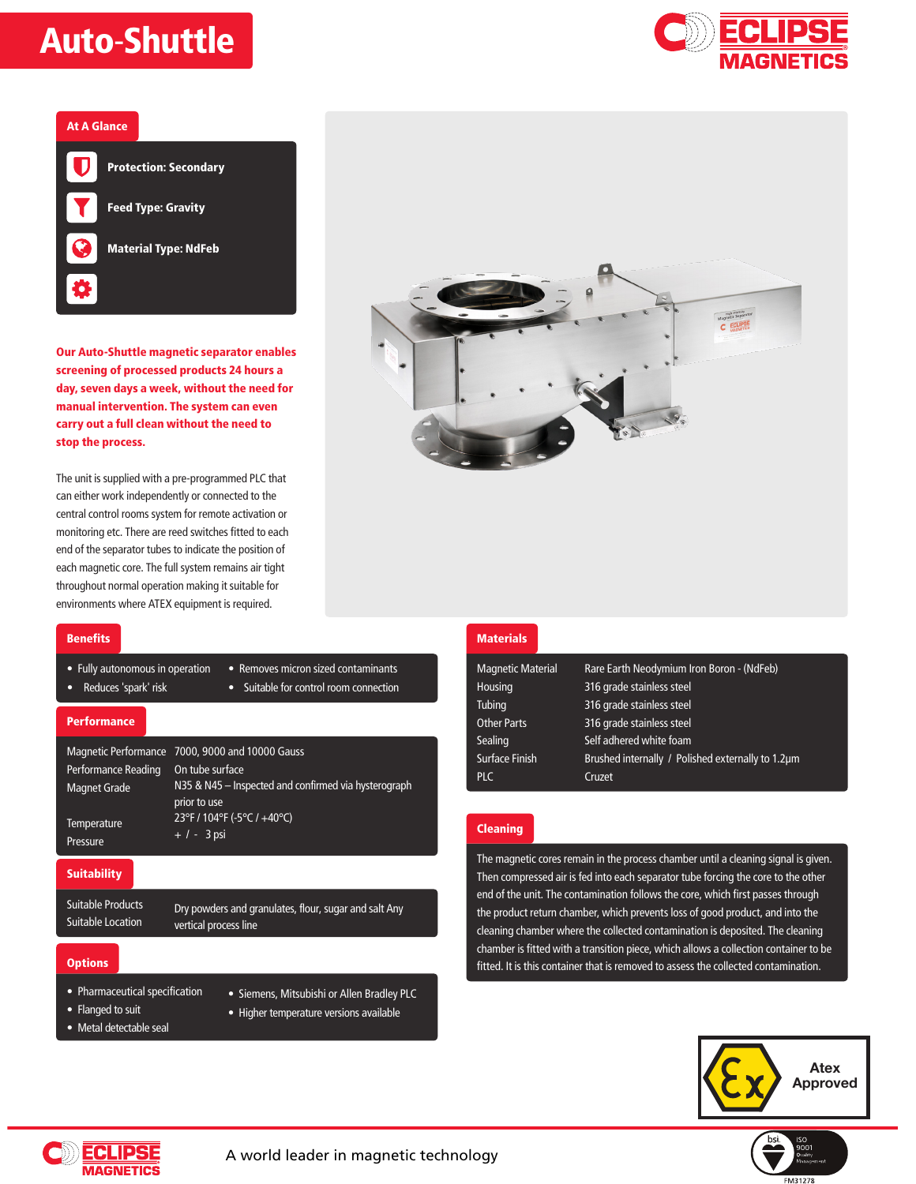## Auto-Shuttle





Our Auto-Shuttle magnetic separator enables screening of processed products 24 hours a day, seven days a week, without the need for manual intervention. The system can even carry out a full clean without the need to stop the process.

The unit is supplied with a pre-programmed PLC that can either work independently or connected to the central control rooms system for remote activation or monitoring etc. There are reed switches fitted to each end of the separator tubes to indicate the position of each magnetic core. The full system remains air tight throughout normal operation making it suitable for environments where ATEX equipment is required.



### **Benefits**

- Fully autonomous in operation Removes micron sized contaminants
- 

## • Reduces 'spark' risk • Suitable for control room connection

### **Performance**

|                         | Magnetic Performance 7000, 9000 and 10000 Gauss                      |
|-------------------------|----------------------------------------------------------------------|
| Performance Reading     | On tube surface                                                      |
| <b>Magnet Grade</b>     | N35 & N45 – Inspected and confirmed via hysterograph<br>prior to use |
| Temperature<br>Pressure | 23°F / 104°F (-5°C / +40°C)<br>$+ 1 - 3$ psi                         |

### **Suitability**

Suitable Products Suitable Location

Dry powders and granulates, flour, sugar and salt Any vertical process line

### **Options**

- Pharmaceutical specification
- Flanged to suit
- Siemens, Mitsubishi or Allen Bradley PLC
- Metal detectable seal
- Higher temperature versions available

## **Materials**

| <b>Magnetic Material</b> | Rare Earth Neodymium Iron Boron - (NdFeb)         |
|--------------------------|---------------------------------------------------|
| Housing                  | 316 grade stainless steel                         |
| Tubing                   | 316 grade stainless steel                         |
| <b>Other Parts</b>       | 316 grade stainless steel                         |
| Sealing                  | Self adhered white foam                           |
| <b>Surface Finish</b>    | Brushed internally / Polished externally to 1.2um |
| <b>PLC</b>               | Cruzet                                            |
|                          |                                                   |

## Cleaning

The magnetic cores remain in the process chamber until a cleaning signal is given. Then compressed air is fed into each separator tube forcing the core to the other end of the unit. The contamination follows the core, which first passes through the product return chamber, which prevents loss of good product, and into the cleaning chamber where the collected contamination is deposited. The cleaning chamber is fitted with a transition piece, which allows a collection container to be fitted. It is this container that is removed to assess the collected contamination.



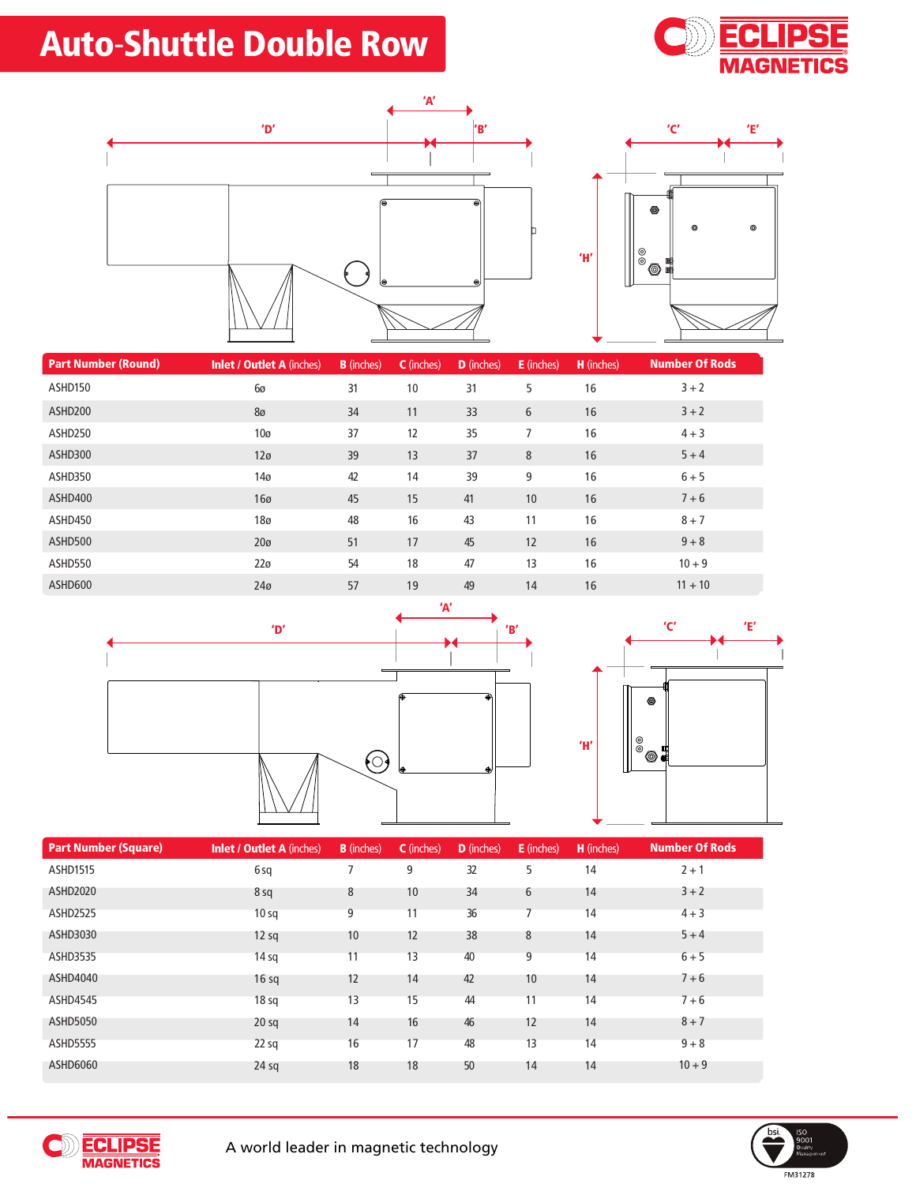# Auto-Shuttle Double Row







| <b>Part Number (Round)</b> | <b>Inlet / Outlet A (inches)</b> | <b>B</b> (inches) | C (inches) | D (inches) | <b>E</b> (inches) | H (inches) | <b>Number Of Rods</b> |
|----------------------------|----------------------------------|-------------------|------------|------------|-------------------|------------|-----------------------|
| ASHD150                    | 6ø                               | 31                | 10         | 31         | 5                 | 16         | $3 + 2$               |
| ASHD200                    | 8 <sub>0</sub>                   | 34                | 11         | 33         | 6                 | 16         | $3 + 2$               |
| ASHD250                    | 10 <sub>0</sub>                  | 37                | 12         | 35         | 7                 | 16         | $4 + 3$               |
| ASHD300                    | 12 <sub>0</sub>                  | 39                | 13         | 37         | 8                 | 16         | $5 + 4$               |
| ASHD350                    | 14 <sub>0</sub>                  | 42                | 14         | 39         | 9                 | 16         | $6 + 5$               |
| ASHD400                    | 16 <sub>0</sub>                  | 45                | 15         | 41         | 10 <sup>10</sup>  | 16         | $7 + 6$               |
| ASHD450                    | 18 <sub>0</sub>                  | 48                | 16         | 43         | 11                | 16         | $8 + 7$               |
| ASHD500                    | 20 <sub>0</sub>                  | 51                | 17         | 45         | 12                | 16         | $9 + 8$               |
| ASHD550                    | 22 <sub>0</sub>                  | 54                | 18         | 47         | 13                | 16         | $10 + 9$              |
| ASHD600                    | 24 <sub>0</sub>                  | 57                | 19         | 49         | 14                | 16         | $11 + 10$             |





| <b>Part Number (Square)</b> | <b>Inlet / Outlet A (inches)</b> | <b>B</b> (inches) | C (inches) | <b>D</b> (inches) | <b>E</b> (inches) | H (inches) | Number Of Rods |
|-----------------------------|----------------------------------|-------------------|------------|-------------------|-------------------|------------|----------------|
| <b>ASHD1515</b>             | 6sq                              |                   | 9          | 32                | 5                 | 14         | $2 + 1$        |
| <b>ASHD2020</b>             | 8 sq                             | 8                 | 10         | 34                | 6                 | 14         | $3 + 2$        |
| <b>ASHD2525</b>             | 10 <sub>sq</sub>                 | 9                 | 11         | 36                |                   | 14         | $4 + 3$        |
| ASHD3030                    | $12$ sq                          | 10                | 12         | 38                | 8                 | 14         | $5 + 4$        |
| <b>ASHD3535</b>             | 14 <sub>sq</sub>                 | 11                | 13         | 40                | 9                 | 14         | $6 + 5$        |
| ASHD4040                    | 16 <sub>sq</sub>                 | 12                | 14         | 42                | 10                | 14         | $7 + 6$        |
| <b>ASHD4545</b>             | 18 <sub>sq</sub>                 | 13                | 15         | 44                | 11                | 14         | $7 + 6$        |
| <b>ASHD5050</b>             | 20 <sub>sq</sub>                 | 14                | 16         | 46                | 12                | 14         | $8 + 7$        |
| <b>ASHD5555</b>             | $22$ sq                          | 16                | 17         | 48                | 13                | 14         | $9 + 8$        |
| ASHD6060                    | $24$ sq                          | 18                | 18         | 50                | 14                | 14         | $10 + 9$       |



**CONFIDENT CONTROL**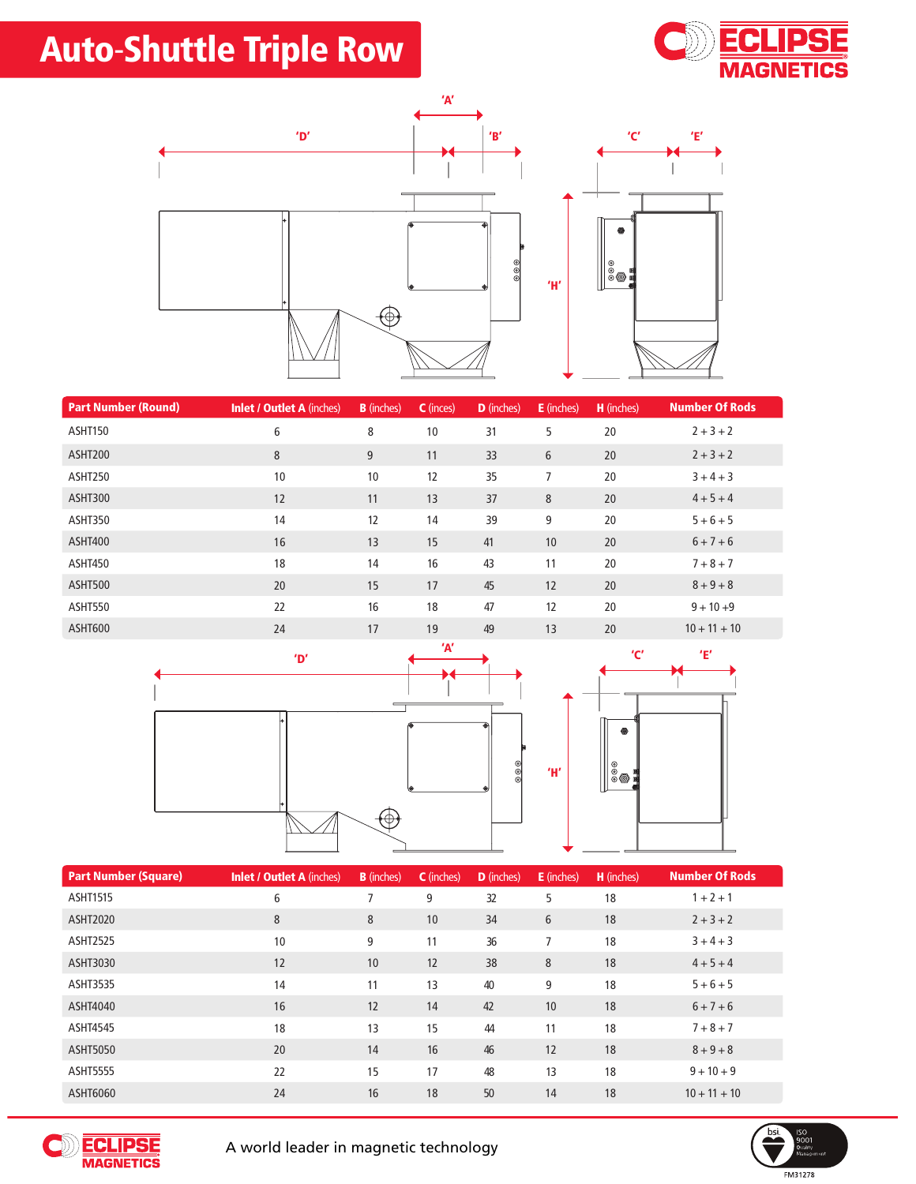# Auto-Shuttle Triple Row



'E'



| <b>Part Number (Round)</b> | <b>Inlet / Outlet A (inches)</b> | <b>B</b> (inches) | C (inces) | <b>D</b> (inches) | <b>E</b> (inches) | H (inches) | <b>Number Of Rods</b> |
|----------------------------|----------------------------------|-------------------|-----------|-------------------|-------------------|------------|-----------------------|
| ASHT150                    | 6                                | 8                 | 10        | 31                | 5                 | 20         | $2 + 3 + 2$           |
| ASHT200                    | $\,8\,$                          | 9                 | 11        | 33                | 6                 | 20         | $2 + 3 + 2$           |
| ASHT250                    | 10                               | 10                | 12        | 35                | $\overline{7}$    | 20         | $3 + 4 + 3$           |
| ASHT300                    | 12                               | 11                | 13        | 37                | 8                 | 20         | $4 + 5 + 4$           |
| ASHT350                    | 14                               | 12                | 14        | 39                | 9                 | 20         | $5 + 6 + 5$           |
| ASHT400                    | 16                               | 13                | 15        | 41                | 10                | 20         | $6 + 7 + 6$           |
| ASHT450                    | 18                               | 14                | 16        | 43                | 11                | 20         | $7 + 8 + 7$           |
| ASHT500                    | 20                               | 15                | 17        | 45                | 12                | 20         | $8 + 9 + 8$           |
| ASHT550                    | 22                               | 16                | 18        | 47                | 12                | 20         | $9 + 10 + 9$          |
| ASHT600                    | 24                               | 17                | 19        | 49                | 13                | 20         | $10 + 11 + 10$        |





| <b>Part Number (Square)</b> | <b>Inlet / Outlet A (inches)</b> | <b>B</b> (inches) | <b>C</b> (inches) | <b>D</b> (inches) | <b>E</b> (inches) | <b>H</b> (inches) | <b>Number Of Rods</b> |
|-----------------------------|----------------------------------|-------------------|-------------------|-------------------|-------------------|-------------------|-----------------------|
| <b>ASHT1515</b>             | 6                                | $\overline{ }$    | 9                 | 32                | 5                 | 18                | $1 + 2 + 1$           |
| <b>ASHT2020</b>             | 8                                | 8                 | 10                | 34                | 6                 | 18                | $2 + 3 + 2$           |
| <b>ASHT2525</b>             | 10                               | 9                 | 11                | 36                | 7                 | 18                | $3 + 4 + 3$           |
| ASHT3030                    | 12                               | 10                | 12                | 38                | 8                 | 18                | $4 + 5 + 4$           |
| <b>ASHT3535</b>             | 14                               | 11                | 13                | 40                | 9                 | 18                | $5 + 6 + 5$           |
| ASHT4040                    | 16                               | 12                | 14                | 42                | 10                | 18                | $6 + 7 + 6$           |
| <b>ASHT4545</b>             | 18                               | 13                | 15                | 44                | 11                | 18                | $7 + 8 + 7$           |
| <b>ASHT5050</b>             | 20                               | 14                | 16                | 46                | 12                | 18                | $8 + 9 + 8$           |
| <b>ASHT5555</b>             | 22                               | 15                | 17                | 48                | 13                | 18                | $9 + 10 + 9$          |
| ASHT6060                    | 24                               | 16                | 18                | 50                | 14                | 18                | $10 + 11 + 10$        |